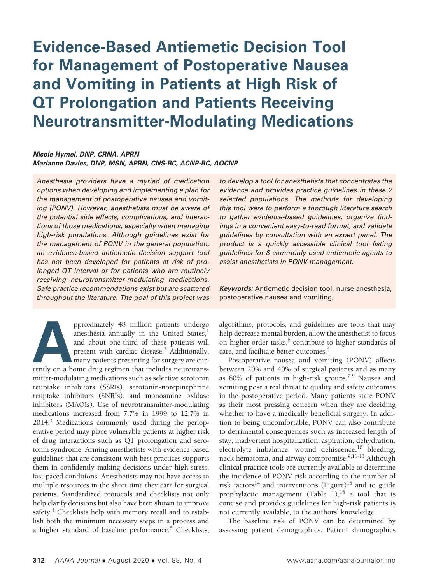# **Evidence-Based Antiemetic Decision Tool for Management of Postoperative Nausea and Vomiting in Patients at High Risk of QT Prolongation and Patients Receiving Neurotransmitter-Modulating Medications**

#### *Nicole Hymel, DNP, CRNA, APRN Marianne Davies, DNP, MSN, APRN, CNS-BC, ACNP-BC, AOCNP*

*Anesthesia providers have a myriad of medication options when developing and implementing a plan for the management of postoperative nausea and vomiting (PONV). However, anesthetists must be aware of the potential side effects, complications, and interactions of those medications, especially when managing high-risk populations. Although guidelines exist for the management of PONV in the general population, an evidence-based antiemetic decision support tool has not been developed for patients at risk of prolonged QT interval or for patients who are routinely receiving neurotransmitter-modulating medications. Safe practice recommendations exist but are scattered throughout the literature. The goal of this project was* 

pproximately 48 million patients undergo anesthesia annually in the United States,<sup>1</sup> and about one-third of these patients will present with cardiac disease.<sup>2</sup> Additionally, many patients presenting for surgery are curre anesthesia annually in the United States, $<sup>1</sup>$ </sup> and about one-third of these patients will present with cardiac disease.<sup>2</sup> Additionally, many patients presenting for surgery are curmitter-modulating medications such as selective serotonin reuptake inhibitors (SSRIs), serotonin-norepinephrine reuptake inhibitors (SNRIs), and monoamine oxidase inhibitors (MAOIs). Use of neurotransmitter-modulating medications increased from 7.7% in 1999 to 12.7% in 2014.<sup>3</sup> Medications commonly used during the perioperative period may place vulnerable patients at higher risk of drug interactions such as QT prolongation and serotonin syndrome. Arming anesthetists with evidence-based guidelines that are consistent with best practices supports them in confidently making decisions under high-stress, fast-paced conditions. Anesthetists may not have access to multiple resources in the short time they care for surgical patients. Standardized protocols and checklists not only help clarify decisions but also have been shown to improve safety.<sup>4</sup> Checklists help with memory recall and to establish both the minimum necessary steps in a process and a higher standard of baseline performance.<sup>5</sup> Checklists, *to develop a tool for anesthetists that concentrates the evidence and provides practice guidelines in these 2 selected populations. The methods for developing this tool were to perform a thorough literature search to gather evidence-based guidelines, organize findings in a convenient easy-to-read format, and validate guidelines by consultation with an expert panel. The product is a quickly accessible clinical tool listing guidelines for 8 commonly used antiemetic agents to assist anesthetists in PONV management.* 

*Keywords:* Antiemetic decision tool, nurse anesthesia, postoperative nausea and vomiting,

algorithms, protocols, and guidelines are tools that may help decrease mental burden, allow the anesthetist to focus on higher-order tasks,<sup>6</sup> contribute to higher standards of care, and facilitate better outcomes.<sup>4</sup>

Postoperative nausea and vomiting (PONV) affects between 20% and 40% of surgical patients and as many as 80% of patients in high-risk groups.7-9 Nausea and vomiting pose a real threat to quality and safety outcomes in the postoperative period. Many patients state PONV as their most pressing concern when they are deciding whether to have a medically beneficial surgery. In addition to being uncomfortable, PONV can also contribute to detrimental consequences such as increased length of stay, inadvertent hospitalization, aspiration, dehydration, electrolyte imbalance, wound dehiscence, $10$  bleeding, neck hematoma, and airway compromise.<sup>9,11-13</sup> Although clinical practice tools are currently available to determine the incidence of PONV risk according to the number of risk factors<sup>14</sup> and interventions (Figure)<sup>15</sup> and to guide prophylactic management (Table 1),<sup>16</sup> a tool that is concise and provides guidelines for high-risk patients is not currently available, to the authors' knowledge.

The baseline risk of PONV can be determined by assessing patient demographics. Patient demographics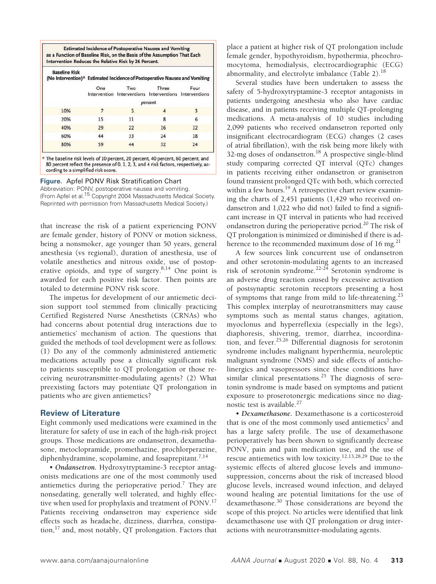| <b>Estimated Incidence of Postoperative Nausea and Vomiting</b>          |
|--------------------------------------------------------------------------|
| as a Function of Baseline Risk, on the Basis of the Assumption That Each |
| Intervention Reduces the Relative Risk by 26 Percent.                    |

|     | One     | Two | Three<br>Intervention Interventions Interventions Interventions | Four |
|-----|---------|-----|-----------------------------------------------------------------|------|
|     | percent |     |                                                                 |      |
| 10% |         | 5   |                                                                 |      |
| 20% | 15      | 11  | 8                                                               | 6    |
| 40% | 29      | 22  | 16                                                              | 12   |
| 60% | 44      | 33  | 24                                                              | 18   |
| 80% | 59      | 44  | 32                                                              | 24   |

\* The baseline risk levels of 10 percent, 20 percent, 40 percent, 60 percent, and 80 percent reflect the presence of 0, 1, 2, 3, and 4 risk factors, respectively, according to a simplified risk score.

**Figure.** Apfel PONV Risk Stratification Chart

Abbreviation: PONV, postoperative nausea and vomiting. (From Apfel et al.15 Copyright 2004 Massachusetts Medical Society. Reprinted with permission from Massachusetts Medical Society.)

that increase the risk of a patient experiencing PONV are female gender, history of PONV or motion sickness, being a nonsmoker, age younger than 50 years, general anesthesia (vs regional), duration of anesthesia, use of volatile anesthetics and nitrous oxide, use of postoperative opioids, and type of surgery.8,14 One point is awarded for each positive risk factor. Then points are totaled to determine PONV risk score.

The impetus for development of our antiemetic decision support tool stemmed from clinically practicing Certified Registered Nurse Anesthetists (CRNAs) who had concerns about potential drug interactions due to antiemetics' mechanism of action. The questions that guided the methods of tool development were as follows: (1) Do any of the commonly administered antiemetic medications actually pose a clinically significant risk to patients susceptible to QT prolongation or those receiving neurotransmitter-modulating agents? (2) What preexisting factors may potentiate QT prolongation in patients who are given antiemetics?

# **Review of Literature**

Eight commonly used medications were examined in the literature for safety of use in each of the high-risk project groups. Those medications are ondansetron, dexamethasone, metoclopramide, promethazine, prochlorperazine, diphenhydramine, scopolamine, and fosaprepitant.<sup>7,14</sup>

• *Ondansetron.* Hydroxytryptamine-3 receptor antagonists medications are one of the most commonly used antiemetics during the perioperative period.<sup>7</sup> They are nonsedating, generally well tolerated, and highly effective when used for prophylaxis and treatment of PONV.<sup>17</sup> Patients receiving ondansetron may experience side effects such as headache, dizziness, diarrhea, constipation, $^{17}$  and, most notably, QT prolongation. Factors that

place a patient at higher risk of QT prolongation include female gender, hypothyroidism, hypothermia, pheochromocytoma, hemodialysis, electrocardiographic (ECG) abnormality, and electrolyte imbalance  $(Table 2).<sup>18</sup>$ 

Several studies have been undertaken to assess the safety of 5-hydroxytryptamine-3 receptor antagonists in patients undergoing anesthesia who also have cardiac disease, and in patients receiving multiple QT-prolonging medications. A meta-analysis of 10 studies including 2,099 patients who received ondansetron reported only insignificant electrocardiogram (ECG) changes (2 cases of atrial fibrillation), with the risk being more likely with 32-mg doses of ondansetron.<sup>18</sup> A prospective single-blind study comparing corrected QT interval (QTc) changes in patients receiving either ondansetron or granisetron found transient prolonged QTc with both, which corrected within a few hours.<sup>19</sup> A retrospective chart review examining the charts of 2,451 patients (1,429 who received ondansetron and 1,022 who did not) failed to find a significant increase in QT interval in patients who had received ondansetron during the perioperative period.20 The risk of QT prolongation is minimized or diminished if there is adherence to the recommended maximum dose of 16 mg.<sup>21</sup>

A few sources link concurrent use of ondansetron and other serotonin-modulating agents to an increased risk of serotonin syndrome.<sup>22-24</sup> Serotonin syndrome is an adverse drug reaction caused by excessive activation of postsynaptic serotonin receptors presenting a host of symptoms that range from mild to life-threatening.<sup>23</sup> This complex interplay of neurotransmitters may cause symptoms such as mental status changes, agitation, myoclonus and hyperreflexia (especially in the legs), diaphoresis, shivering, tremor, diarrhea, incoordination, and fever.25,26 Differential diagnosis for serotonin syndrome includes malignant hyperthermia, neuroleptic malignant syndrome (NMS) and side effects of anticholinergics and vasopressors since these conditions have similar clinical presentations.<sup>25</sup> The diagnosis of serotonin syndrome is made based on symptoms and patient exposure to proserotonergic medications since no diagnostic test is available.<sup>27</sup>

• *Dexamethasone.* Dexamethasone is a corticosteroid that is one of the most commonly used antiemetics<sup>7</sup> and has a large safety profile. The use of dexamethasone perioperatively has been shown to significantly decrease PONV, pain and pain medication use, and the use of rescue antiemetics with low toxicity.12,13,28,29 Due to the systemic effects of altered glucose levels and immunosuppression, concerns about the risk of increased blood glucose levels, increased wound infection, and delayed wound healing are potential limitations for the use of dexamethasone.30 Those considerations are beyond the scope of this project. No articles were identified that link dexamethasone use with QT prolongation or drug interactions with neurotransmitter-modulating agents.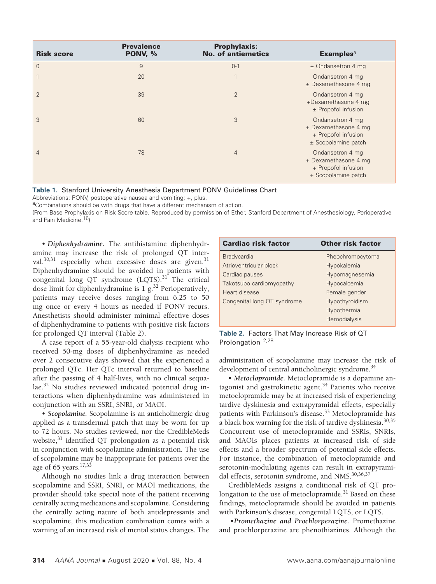| <b>Risk score</b> | <b>Prevalence</b><br>PONV, % | <b>Prophylaxis:</b><br><b>No. of antiemetics</b> | <b>Examples</b> <sup>a</sup>                                                           |
|-------------------|------------------------------|--------------------------------------------------|----------------------------------------------------------------------------------------|
| $\overline{0}$    | 9                            | $0 - 1$                                          | $±$ Ondansetron 4 mq                                                                   |
|                   | 20                           |                                                  | Ondansetron 4 mg<br>$±$ Dexamethasone 4 mg                                             |
| $\overline{2}$    | 39                           | $\overline{2}$                                   | Ondansetron 4 mg<br>+Dexamethasone 4 mg<br>$±$ Propofol infusion                       |
| 3                 | 60                           | 3                                                | Ondansetron 4 mg<br>+ Dexamethasone 4 mg<br>+ Propofol infusion<br>± Scopolamine patch |
| 4                 | 78                           | $\overline{4}$                                   | Ondansetron 4 mg<br>+ Dexamethasone 4 mg<br>+ Propofol infusion<br>+ Scopolamine patch |

**Table 1.** Stanford University Anesthesia Department PONV Guidelines Chart

Abbreviations: PONV, postoperative nausea and vomiting; +, plus.

aCombinations should be with drugs that have a different mechanism of action.

(From Base Prophylaxis on Risk Score table. Reproduced by permission of Ether, Stanford Department of Anesthesiology, Perioperative and Pain Medicine.<sup>16</sup>)

• *Diphenhydramine.* The antihistamine diphenhydramine may increase the risk of prolonged QT interval, $30,31$  especially when excessive doses are given. $31$ Diphenhydramine should be avoided in patients with congenital long QT syndrome (LQTS).<sup>31</sup> The critical dose limit for diphenhydramine is  $1$  g.<sup>32</sup> Perioperatively, patients may receive doses ranging from 6.25 to 50 mg once or every 4 hours as needed if PONV recurs. Anesthetists should administer minimal effective doses of diphenhydramine to patients with positive risk factors for prolonged QT interval (Table 2).

A case report of a 55-year-old dialysis recipient who received 50-mg doses of diphenhydramine as needed over 2 consecutive days showed that she experienced a prolonged QTc. Her QTc interval returned to baseline after the passing of 4 half-lives, with no clinical sequalae.32 No studies reviewed indicated potential drug interactions when diphenhydramine was administered in conjunction with an SSRI, SNRI, or MAOI.

• *Scopolamine.* Scopolamine is an anticholinergic drug applied as a transdermal patch that may be worn for up to 72 hours. No studies reviewed, nor the CredibleMeds website,<sup>31</sup> identified QT prolongation as a potential risk in conjunction with scopolamine administration. The use of scopolamine may be inappropriate for patients over the age of 65 years. $17,33$ 

Although no studies link a drug interaction between scopolamine and SSRI, SNRI, or MAOI medications, the provider should take special note of the patient receiving centrally acting medications and scopolamine. Considering the centrally acting nature of both antidepressants and scopolamine, this medication combination comes with a warning of an increased risk of mental status changes. The

| <b>Cardiac risk factor</b>  | <b>Other risk factor</b> |
|-----------------------------|--------------------------|
| <b>Bradycardia</b>          | Pheochromocytoma         |
| Atrioventricular block      | Hypokalemia              |
| Cardiac pauses              | Hypomagnesemia           |
| Takotsubo cardiomyopathy    | Hypocalcemia             |
| Heart disease               | Female gender            |
| Congenital long QT syndrome | Hypothyroidism           |
|                             | Hypothermia              |
|                             | Hemodialysis             |

**Table 2.** Factors That May Increase Risk of QT Prolongation<sup>12,28</sup>

administration of scopolamine may increase the risk of development of central anticholinergic syndrome.<sup>34</sup>

• *Metoclopramide.* Metoclopramide is a dopamine antagonist and gastrokinetic agent.<sup>34</sup> Patients who receive metoclopramide may be at increased risk of experiencing tardive dyskinesia and extrapyramidal effects, especially patients with Parkinson's disease.<sup>33</sup> Metoclopramide has a black box warning for the risk of tardive dyskinesia.<sup>30,35</sup> Concurrent use of metoclopramide and SSRIs, SNRIs, and MAOIs places patients at increased risk of side effects and a broader spectrum of potential side effects. For instance, the combination of metoclopramide and serotonin-modulating agents can result in extrapyramidal effects, serotonin syndrome, and NMS.<sup>30,36,37</sup>

CredibleMeds assigns a conditional risk of QT prolongation to the use of metoclopramide.<sup>31</sup> Based on these findings, metoclopramide should be avoided in patients with Parkinson's disease, congenital LQTS, or LQTS.

 •*Promethazine and Prochlorperazine.* Promethazine and prochlorperazine are phenothiazines. Although the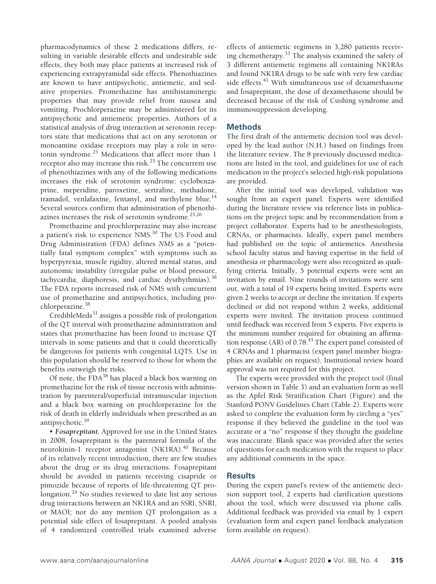pharmacodynamics of these 2 medications differs, resulting in variable desirable effects and undesirable side effects, they both may place patients at increased risk of experiencing extrapyramidal side effects. Phenothiazines are known to have antipsychotic, antiemetic, and sedative properties. Promethazine has antihistaminergic properties that may provide relief from nausea and vomiting. Prochlorperazine may be administered for its antipsychotic and antiemetic properties. Authors of a statistical analysis of drug interaction at serotonin receptors state that medications that act on any serotonin or monoamine oxidase receptors may play a role in serotonin syndrome.<sup>25</sup> Medications that affect more than 1 receptor also may increase this risk.<sup>25</sup> The concurrent use of phenothiazines with any of the following medications increases the risk of serotonin syndrome: cyclobenzaprine, meperidine, paroxetine, sertraline, methadone, tramadol, venlafaxine, fentanyl, and methylene blue. $14$ Several sources confirm that administration of phenothiazines increases the risk of serotonin syndrome. $25,26$ 

Promethazine and prochlorperazine may also increase a patient's risk to experience NMS.<sup>30</sup> The US Food and Drug Administration (FDA) defines *NMS* as a "potentially fatal symptom complex" with symptoms such as hyperpyrexia, muscle rigidity, altered mental status, and autonomic instability (irregular pulse or blood pressure, tachycardia, diaphoresis, and cardiac dysrhythmias).<sup>38</sup> The FDA reports increased risk of NMS with concurrent use of promethazine and antipsychotics, including prochlorperazine.<sup>38</sup>

CredibleMeds $31$  assigns a possible risk of prolongation of the QT interval with promethazine administration and states that promethazine has been found to increase QT intervals in some patients and that it could theoretically be dangerous for patients with congenital LQTS. Use in this population should be reserved to those for whom the benefits outweigh the risks.

Of note, the  $FDA^{38}$  has placed a black box warning on promethazine for the risk of tissue necrosis with administration by parenteral/superficial intramuscular injection and a black box warning on prochlorperazine for the risk of death in elderly individuals when prescribed as an antipsychotic.<sup>39</sup>

• *Fosaprepitant.* Approved for use in the United States in 2008, fosaprepitant is the parenteral formula of the neurokinin-1 receptor antagonist (NK1RA).<sup>40</sup> Because of its relatively recent introduction, there are few studies about the drug or its drug interactions. Fosaprepitant should be avoided in patients receiving cisapride or pimozide because of reports of life-threatening QT prolongation.<sup>24</sup> No studies reviewed to date list any serious drug interactions between an NK1RA and an SSRI, SNRI, or MAOI; nor do any mention QT prolongation as a potential side effect of fosaprepitant. A pooled analysis of 4 randomized controlled trials examined adverse

effects of antiemetic regimens in 3,280 patients receiving chemotherapy.33 The analysis examined the safety of 3 different antiemetic regimens all containing NK1RAs and found NK1RA drugs to be safe with very few cardiac side effects.<sup>41</sup> With simultaneous use of dexamethasone and fosaprepitant, the dose of dexamethasone should be decreased because of the risk of Cushing syndrome and immunosuppression developing.

### **Methods**

The first draft of the antiemetic decision tool was developed by the lead author (N.H.) based on findings from the literature review. The 8 previously discussed medications are listed in the tool, and guidelines for use of each medication in the project's selected high-risk populations are provided.

After the initial tool was developed, validation was sought from an expert panel. Experts were identified during the literature review via reference lists in publications on the project topic and by recommendation from a project collaborator. Experts had to be anesthesiologists, CRNAs, or pharmacists. Ideally, expert panel members had published on the topic of antiemetics. Anesthesia school faculty status and having expertise in the field of anesthesia or pharmacology were also recognized as qualifying criteria. Initially, 5 potential experts were sent an invitation by email. Nine rounds of invitations were sent out, with a total of 19 experts being invited. Experts were given 2 weeks to accept or decline the invitation. If experts declined or did not respond within 2 weeks, additional experts were invited. The invitation process continued until feedback was received from 5 experts. Five experts is the minimum number required for obtaining an affirmation response (AR) of  $0.78<sup>43</sup>$  The expert panel consisted of 4 CRNAs and 1 pharmacist (expert panel member biographies are available on request). Institutional review board approval was not required for this project.

The experts were provided with the project tool (final version shown in Table 3) and an evaluation form as well as the Apfel Risk Stratification Chart (Figure) and the Stanford PONV Guidelines Chart (Table 2). Experts were asked to complete the evaluation form by circling a "yes" response if they believed the guideline in the tool was accurate or a "no" response if they thought the guideline was inaccurate. Blank space was provided after the series of questions for each medication with the request to place any additional comments in the space.

# **Results**

During the expert panel's review of the antiemetic decision support tool, 2 experts had clarification questions about the tool, which were discussed via phone calls. Additional feedback was provided via email by 1 expert (evaluation form and expert panel feedback analyzation form available on request).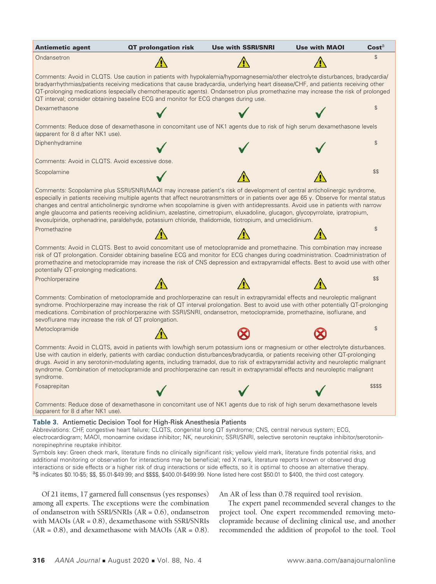

among all experts. The exceptions were the combination of ondansetron with SSRI/SNRIs (AR = 0.6), ondansetron with MAOIs (AR = 0.8), dexamethasone with SSRI/SNRIs  $(AR = 0.8)$ , and dexamethasone with MAOIs  $(AR = 0.8)$ .

The expert panel recommended several changes to the project tool. One expert recommended removing metoclopramide because of declining clinical use, and another recommended the addition of propofol to the tool. Tool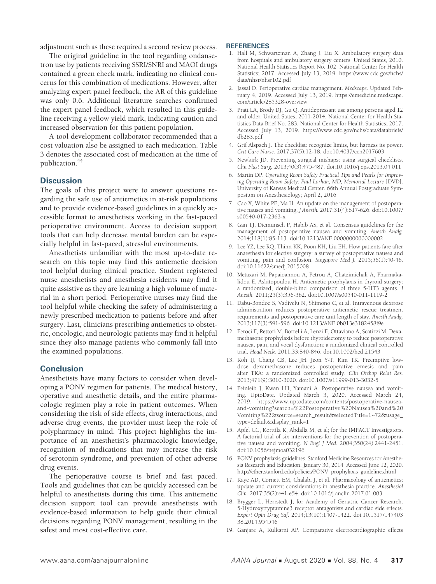adjustment such as these required a second review process.

The original guideline in the tool regarding ondansetron use by patients receiving SSRI/SNRI and MAOI drugs contained a green check mark, indicating no clinical concerns for this combination of medications. However, after analyzing expert panel feedback, the AR of this guideline was only 0.6. Additional literature searches confirmed the expert panel feedback, which resulted in this guideline receiving a yellow yield mark, indicating caution and increased observation for this patient population.

A tool development collaborator recommended that a cost valuation also be assigned to each medication. Table 3 denotes the associated cost of medication at the time of publication.44

# **Discussion**

The goals of this project were to answer questions regarding the safe use of antiemetics in at-risk populations and to provide evidence-based guidelines in a quickly accessible format to anesthetists working in the fast-paced perioperative environment. Access to decision support tools that can help decrease mental burden can be especially helpful in fast-paced, stressful environments.

Anesthetists unfamiliar with the most up-to-date research on this topic may find this antiemetic decision tool helpful during clinical practice. Student registered nurse anesthetists and anesthesia residents may find it quite assistive as they are learning a high volume of material in a short period. Perioperative nurses may find the tool helpful while checking the safety of administering a newly prescribed medication to patients before and after surgery. Last, clinicians prescribing antiemetics to obstetric, oncologic, and neurologic patients may find it helpful since they also manage patients who commonly fall into the examined populations.

# **Conclusion**

Anesthetists have many factors to consider when developing a PONV regimen for patients. The medical history, operative and anesthetic details, and the entire pharmacologic regimen play a role in patient outcomes. When considering the risk of side effects, drug interactions, and adverse drug events, the provider must keep the role of polypharmacy in mind. This project highlights the importance of an anesthetist's pharmacologic knowledge, recognition of medications that may increase the risk of serotonin syndrome, and prevention of other adverse drug events.

The perioperative course is brief and fast paced. Tools and guidelines that can be quickly accessed can be helpful to anesthetists during this time. This antiemetic decision support tool can provide anesthetists with evidence-based information to help guide their clinical decisions regarding PONV management, resulting in the safest and most cost-effective care.

#### **REFERENCES**

- 1. Hall M, Schwartzman A, Zhang J, Liu X. Ambulatory surgery data from hospitals and ambulatory surgery centers: United States, 2010. National Health Statistics Report No. 102. National Center for Health Statistics; 2017. Accessed July 13, 2019. https://www.cdc.gov/nchs/ data/nhsr/nhsr102.pdf
- 2. Jassal D. Perioperative cardiac management. *Medscape.* Updated February 4, 2019. Accessed July 13, 2019. https://emedicine.medscape. com/article/285328-overview
- 3. Pratt LA, Brody DJ, Gu Q. Antidepressant use among persons aged 12 and older: United States, 2011-2014. National Center for Health Statistics Data Brief No. 283. National Center for Health Statistics; 2017. Accessed July 13, 2019. https://www.cdc.gov/nchs/data/databriefs/ db283.pdf
- 4. Grif Alspach J. The checklist: recognize limits, but harness its power. *Crit Care Nurse.* 2017;37(5):12-18. doi:10.4037/ccn2017603
- 5. Newkirk JD. Preventing surgical mishaps: using surgical checklists. *Clin Plast Surg.* 2013;40(3):475-487. doi:10.1016/j.cps.2013.04.011
- 6. Martin DP. *Operating Room Safety Practical Tips and Pearls for Improving Operating Room Safety: Paul Lorhan, MD, Memorial Lecture* [DVD]. University of Kansas Medical Center. 66th Annual Postgraduate Symposium on Anesthesiology; April 2, 2016.
- 7. Cao X, White PF, Ma H. An update on the management of postoperative nausea and vomiting. *J Anesth.* 2017;31(4):617-626. doi:10.1007/ s00540-017-2363-x
- 8. Gan TJ, Diemunsch P, Habib AS, et al. Consensus guidelines for the management of postoperative nausea and vomiting. *Anesth Analg.*  2014;118(1):85-113. doi:10.1213/ANE.0000000000000002
- 9. Lee YZ, Lee RQ, Thinn KK, Poon KH, Liu EH. How patients fare after anaesthesia for elective surgery: a survey of postoperative nausea and vomiting, pain and confusion. *Singapore Med J.* 2015;56(1):40-46. doi:10.11622/smedj.2015008
- 10. Metaxari M, Papaioannou A, Petrou A, Chatzimichali A, Pharmakalidou E, Askitopoulou H. Antiemetic prophylaxis in thyroid surgery: a randomized, double-blind comparison of three 5-HT3 agents. *J Anesth.* 2011;25(3):356-362. doi:10.1007/s00540-011-1119-2
- 11. Dabu-Bondoc S, Vadivelu N, Shimono C, et al. Intravenous dextrose administration reduces postoperative antiemetic rescue treatment requirements and postoperative care unit length of stay. *Anesth Analg.* 2013;117(3):591-596. doi:10.1213/ANE.0b013e3182458f9e
- 12. Feroci F, Rettori M, Borrelli A, Lenzi E, Ottaviano A, Scatizzi M. Dexamethasone prophylaxis before thyroidectomy to reduce postoperative nausea, pain, and vocal dysfunction: a randomized clinical controlled trial. *Head Neck.* 2011;33:840-846. doi:10.1002/hed.21543
- 13. Koh IJ, Chang CB, Lee JH, Jeon Y-T, Kim TK. Preemptive lowdose dexamethasone reduces postoperative emesis and pain after TKA: a randomized controlled study. *Clin Orthop Relat Res.*  2013;471(9):3010-3020. doi:10.1007/s11999-013-3032-5
- 14. Feinleib J, Kwan LH, Yamani A. Postoperative nausea and vomiting. UptoDate. Updated March 3, 2020. Accessed March 24, 2019. https://www.uptodate.com/contents/postoperative-nauseaand-vomiting?search=%22Postoperative%20Nausea%20and%20 Vomiting%22&source=search\_result&selectedTitle=1~72&usage\_ type=default&display\_rank=1
- 15. Apfel CC, Korttila K, Abdalla M, et al; for the IMPACT Investigators. A factorial trial of six interventions for the prevention of postoperative nausea and vomiting. *N Engl J Med.* 2004;350(24):2441-2451. doi:10.1056/nejmoa032196
- 16. PONV prophylaxis guidelines. Stanford Medicine Resources for Anesthesia Research and Education. January 30, 2014. Accessed June 12, 2020. http://ether.stanford.edu/policies/PONV\_prophylaxis\_guidelines.html
- 17. Kaye AD, Cornett EM, Chalabi J, et al. Pharmacology of antiemetics: update and current considerations in anesthesia practice. *Anesthesiol Clin.* 2017;35(2):e41-e54. doi:10.1016/j.anclin.2017.01.003
- 18. Brygger L, Herrstedt J; for Academy of Geriatric Cancer Research. 5-Hydroxytryptamine3 receptor antagonists and cardiac side effects. *Expert Opin Drug Saf.* 2014;13(10):1407-1422. doi:10.1517/147403 38.2014.954546
- 19. Ganjare A, Kulkarni AP. Comparative electrocardiographic effects